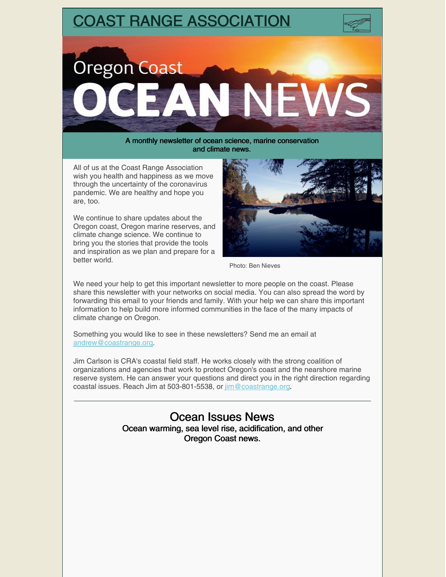

and climate news.

All of us at the Coast Range Association wish you health and happiness as we move through the uncertainty of the coronavirus pandemic. We are healthy and hope you are, too.

We continue to share updates about the Oregon coast, Oregon marine reserves, and climate change science. We continue to bring you the stories that provide the tools and inspiration as we plan and prepare for a better world.



Photo: Ben Nieves

We need your help to get this important newsletter to more people on the coast. Please share this newsletter with your networks on social media. You can also spread the word by forwarding this email to your friends and family. With your help we can share this important information to help build more informed communities in the face of the many impacts of climate change on Oregon.

Something you would like to see in these newsletters? Send me an email at [andrew@coastrange.org](mailto:andrew@coastrange.org).

Jim Carlson is CRA's coastal field staff. He works closely with the strong coalition of organizations and agencies that work to protect Oregon's coast and the nearshore marine reserve system. He can answer your questions and direct you in the right direction regarding coastal issues. Reach Jim at 503-801-5538, or [jim@coastrange.org](mailto:jim@coastrange.org).

> Ocean Issues News Ocean warming, sea level rise, acidification, and other Oregon Coast news.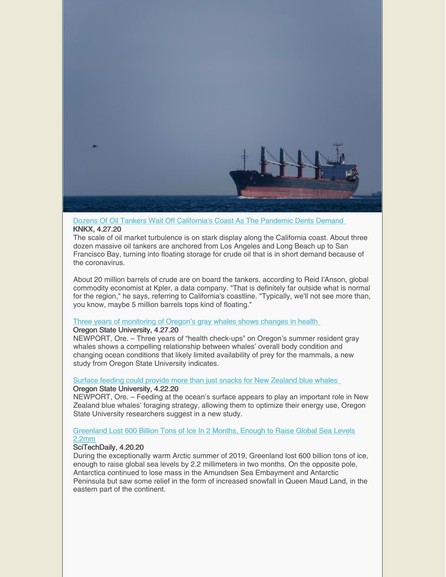

### Dozens Of Oil Tankers Wait Off [California's](https://www.knkx.org/post/dozens-oil-tankers-wait-californias-coast-pandemic-dents-demand?utm_source=Sightline Institute&utm_medium=web-email&utm_campaign=Sightline News Selections) Coast As The Pandemic Dents Demand KNKX, 4.27.20

The scale of oil market turbulence is on stark display along the California coast. About three dozen massive oil tankers are anchored from Los Angeles and Long Beach up to San Francisco Bay, turning into floating storage for crude oil that is in short demand because of the coronavirus.

About 20 million barrels of crude are on board the tankers, according to Reid I'Anson, global commodity economist at Kpler, a data company. "That is definitely far outside what is normal for the region," he says, referring to California's coastline. "Typically, we'll not see more than, you know, maybe 5 million barrels tops kind of floating."

### Three years of [monitoring](https://today.oregonstate.edu/news/three-years-monitoring-oregon%E2%80%99s-gray-whales-shows-changes-health) of Oregon's gray whales shows changes in health

### Oregon State University, 4.27.20

NEWPORT, Ore. – Three years of "health check-ups" on Oregon's summer resident gray whales shows a compelling relationship between whales' overall body condition and changing ocean conditions that likely limited availability of prey for the mammals, a new study from Oregon State University indicates.

### Surface feeding could provide more than just snacks for New [Zealand](https://today.oregonstate.edu/news/surface-feeding-could-provide-more-just-snacks-new-zealand-blue-whales) blue whales Oregon State University, 4.22.20

NEWPORT, Ore. – Feeding at the ocean's surface appears to play an important role in New Zealand blue whales' foraging strategy, allowing them to optimize their energy use, Oregon State University researchers suggest in a new study.

### [Greenland](https://scitechdaily.com/greenland-lost-600-billion-tons-of-ice-in-2-months-enough-to-raise-global-sea-levels-2-2mm/) Lost 600 Billion Tons of Ice In 2 Months, Enough to Raise Global Sea Levels 2.2mm

## SciTechDaily, 4.20.20

During the exceptionally warm Arctic summer of 2019, Greenland lost 600 billion tons of ice, enough to raise global sea levels by 2.2 millimeters in two months. On the opposite pole, Antarctica continued to lose mass in the Amundsen Sea Embayment and Antarctic Peninsula but saw some relief in the form of increased snowfall in Queen Maud Land, in the eastern part of the continent.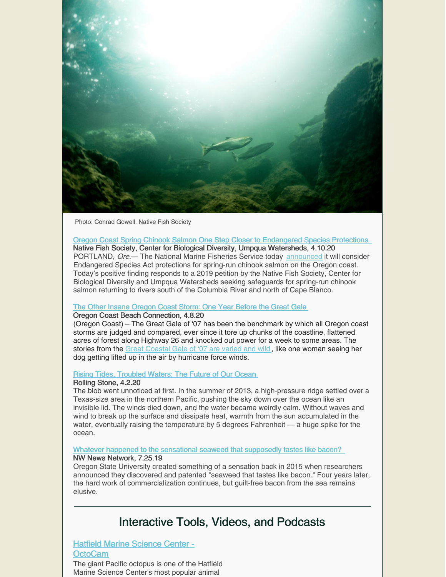

Photo: Conrad Gowell, Native Fish Society

Oregon Coast Spring Chinook Salmon One Step Closer to [Endangered](https://biologicaldiversity.org/w/news/press-releases/oregon-coast-spring-chinook-salmon-one-step-closer-endangered-species-protections-2020-04-10/) Species Protections Native Fish Society, Center for Biological Diversity, Umpqua Watersheds, 4.10.20 PORTLAND, Ore.— The National Marine Fisheries Service today [announced](https://www.biologicaldiversity.org/species/fish/pdfs/Oregon-Salmon-90-day-finding-4-10-20.pdf) it will consider Endangered Species Act protections for spring-run chinook salmon on the Oregon coast. Today's positive finding responds to a 2019 petition by the Native Fish Society, Center for Biological Diversity and Umpqua Watersheds seeking safeguards for spring-run chinook salmon returning to rivers south of the Columbia River and north of Cape Blanco.

### The Other Insane [Oregon](https://www.beachconnection.net/news/dec_storm06_040820.php) Coast Storm: One Year Before the Great Gale

### Oregon Coast Beach Connection, 4.8.20

(Oregon Coast) – The Great Gale of '07 has been the benchmark by which all Oregon coast storms are judged and compared, ever since it tore up chunks of the coastline, flattened acres of forest along Highway 26 and knocked out power for a week to some areas. The stories from the Great [Coastal](https://www.beachconnection.net/news/galeaft010815_425.php) Gale of '07 are varied and wild, like one woman seeing her dog getting lifted up in the air by hurricane force winds.

### Rising Tides, [Troubled](https://www.rollingstone.com/culture/culture-features/oceans-and-climate-change-2020-report-jeff-goodell-967980/) Waters: The Future of Our Ocean

### Rolling Stone, 4.2.20

The blob went unnoticed at first. In the summer of 2013, a high-pressure ridge settled over a Texas-size area in the northern Pacific, pushing the sky down over the ocean like an invisible lid. The winds died down, and the water became weirdly calm. Without waves and wind to break up the surface and dissipate heat, warmth from the sun accumulated in the water, eventually raising the temperature by 5 degrees Fahrenheit — a huge spike for the ocean.

### Whatever happened to the [sensational](https://www.nwnewsnetwork.org/post/whatever-happened-sensational-seaweed-supposedly-tastes-bacon) seaweed that supposedly tastes like bacon?

### NW News Network, 7.25.19

Oregon State University created something of a sensation back in 2015 when researchers announced they discovered and patented "seaweed that tastes like bacon." Four years later, the hard work of commercialization continues, but guilt-free bacon from the sea remains elusive.

## Interactive Tools, Videos, and Podcasts

## Hatfield Marine Science Center - **[OctoCam](http://webcam.oregonstate.edu/octocam)**

The giant Pacific octopus is one of the Hatfield Marine Science Center's most popular animal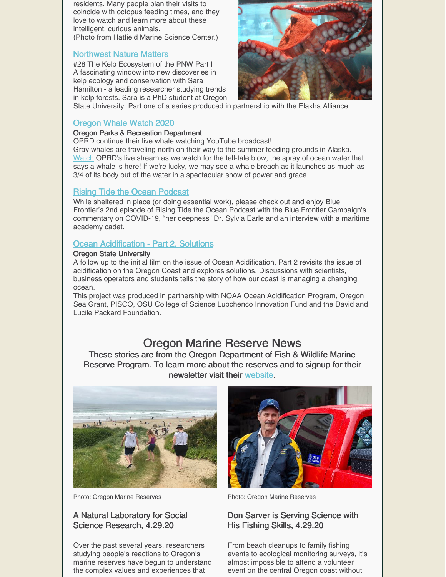residents. Many people plan their visits to coincide with octopus feeding times, and they love to watch and learn more about these intelligent, curious animals.

(Photo from Hatfield Marine Science Center.)

## [Northwest](https://www.myowf.org/nwnaturematters/episode/336fb1ca/28-the-kelp-ecosystem-of-the-pnw-part-i) Nature Matters

#28 The Kelp Ecosystem of the PNW Part I A fascinating window into new discoveries in kelp ecology and conservation with Sara Hamilton - a leading researcher studying trends in kelp forests. Sara is a PhD student at Oregon



State University. Part one of a series produced in partnership with the Elakha Alliance.

## [Oregon](https://www.youtube.com/watch?v=-EtIdyZl7rc) Whale Watch 2020

### Oregon Parks & Recreation Department

OPRD continue their live whale watching YouTube broadcast!

Gray whales are traveling north on their way to the summer feeding grounds in Alaska. [Watch](https://www.youtube.com/watch?v=-EtIdyZl7rc) OPRD's live stream as we watch for the tell-tale blow, the spray of ocean water that says a whale is here! If we're lucky, we may see a whale breach as it launches as much as 3/4 of its body out of the water in a spectacular show of power and grace.

## Rising Tide the Ocean [Podcast](https://podcasts.google.com/?feed=aHR0cHM6Ly9ibHVlZnJvbnQub3JnL2ZlZWQv&ved=0CAAQ4aUDahcKEwjYgsOzitLoAhUAAAAAHQAAAAAQDQ&eType=EmailBlastContent&eId=b6b7c3ce-e35b-4576-a9ad-3a268a0a4eb5)

While sheltered in place (or doing essential work), please check out and enjoy Blue Frontier's 2nd episode of Rising Tide the Ocean Podcast with the Blue Frontier Campaign's commentary on COVID-19, "her deepness" Dr. Sylvia Earle and an interview with a maritime academy cadet.

## **Ocean [Acidification](https://www.youtube.com/watch?v=2KLT9vFVOmc&feature=emb_logo) - Part 2, Solutions**

### Oregon State University

A follow up to the initial film on the issue of Ocean Acidification, Part 2 revisits the issue of acidification on the Oregon Coast and explores solutions. Discussions with scientists, business operators and students tells the story of how our coast is managing a changing ocean.

This project was produced in partnership with NOAA Ocean Acidification Program, Oregon Sea Grant, PISCO, OSU College of Science Lubchenco Innovation Fund and the David and Lucile Packard Foundation.

## Oregon Marine Reserve News

These stories are from the Oregon Department of Fish & Wildlife Marine Reserve Program. To learn more about the reserves and to signup for their newsletter visit their [website](https://oregonmarinereserves.com).



Photo: Oregon Marine Reserves

## A Natural Laboratory for Social Science Research, 4.29.20

Over the past several years, researchers studying people's reactions to Oregon's marine reserves have begun to understand the complex values and experiences that



Photo: Oregon Marine Reserves

## Don Sarver is Serving Science with His Fishing Skills, 4.29.20

From beach cleanups to family fishing events to ecological monitoring surveys, it's almost impossible to attend a volunteer event on the central Oregon coast without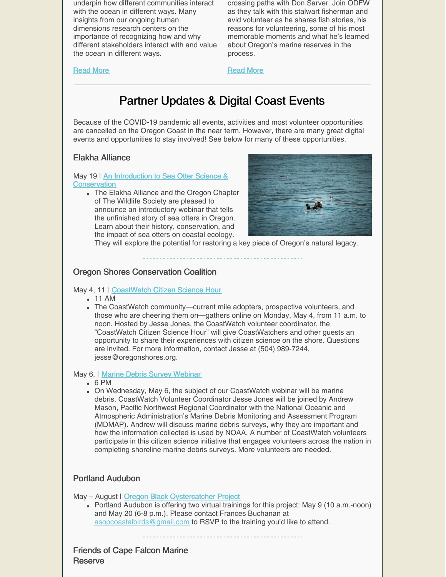underpin how different communities interact with the ocean in different ways. Many insights from our ongoing human dimensions research centers on the importance of recognizing how and why different stakeholders interact with and value the ocean in different ways.

crossing paths with Don Sarver. Join ODFW as they talk with this stalwart fisherman and avid volunteer as he shares fish stories, his reasons for volunteering, some of his most memorable moments and what he's learned about Oregon's marine reserves in the process.

[Read](https://oregonmarinereserves.com/2020/04/29/human-dimensions-research/) More

## [Read](https://oregonmarinereserves.com/2020/04/29/don-sarver/) More

# Partner Updates & Digital Coast Events

Because of the COVID-19 pandemic all events, activities and most volunteer opportunities are cancelled on the Oregon Coast in the near term. However, there are many great digital events and opportunities to stay involved! See below for many of these opportunities.

## Elakha Alliance

May 19 | An Introduction to Sea Otter Science & **[Conservation](https://www.elakhaalliance.org/webinar-sea/)** 

The Elakha Alliance and the Oregon Chapter of The Wildlife Society are pleased to announce an introductory webinar that tells the unfinished story of sea otters in Oregon. Learn about their history, conservation, and the impact of sea otters on coastal ecology.



They will explore the potential for restoring a key piece of Oregon's natural legacy.

## Oregon Shores Conservation Coalition

### May 4, 11 | [CoastWatch](https://oregonshores.org/events/coastwatch-citizen-science-hour-0) Citizen Science Hour

- 11 AM
- The CoastWatch community—current mile adopters, prospective volunteers, and those who are cheering them on—gathers online on Monday, May 4, from 11 a.m. to noon. Hosted by Jesse Jones, the CoastWatch volunteer coordinator, the "CoastWatch Citizen Science Hour" will give CoastWatchers and other guests an opportunity to share their experiences with citizen science on the shore. Questions are invited. For more information, contact Jesse at (504) 989-7244, jesse@oregonshores.org.

### May 6, | Marine Debris Survey [Webinar](https://oregonshores.org/events/marine-debris-survey-webinar)

 $6$  PM

On Wednesday, May 6, the subject of our CoastWatch webinar will be marine debris. CoastWatch Volunteer Coordinator Jesse Jones will be joined by Andrew Mason, Pacific Northwest Regional Coordinator with the National Oceanic and Atmospheric Administration's Marine Debris Monitoring and Assessment Program (MDMAP). Andrew will discuss marine debris surveys, why they are important and how the information collected is used by NOAA. A number of CoastWatch volunteers participate in this citizen science initiative that engages volunteers across the nation in completing shoreline marine debris surveys. More volunteers are needed.

## Portland Audubon

May - August | Oregon Black [Oystercatcher](https://audubonportland.org/get-involved/community-science/black-oystercatcher/) Project

Portland Audubon is offering two virtual trainings for this project: May 9 (10 a.m.-noon) and May 20 (6-8 p.m.). Please contact Frances Buchanan at [asopcoastalbirds@gmail.com](mailto:asopcoastalbirds@gmail.com) to RSVP to the training you'd like to attend.

Friends of Cape Falcon Marine **Reserve**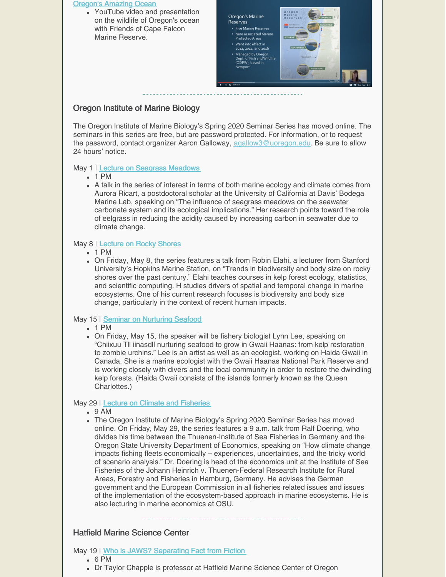|                                           | <b>Oregon's Amazing Ocean</b><br>• YouTube video and presentation<br>on the wildlife of Oregon's ocean<br>with Friends of Cape Falcon<br>Marine Reserve. | Oregon's Marine<br><b>Reserves</b><br>• Five Marine Reserves<br>• Nine associated Marine<br><b>Protected Areas</b><br>• Went into effect in<br>2012, 2014, and 2016<br>• Managed by Oregon<br>Dept. of Fish and Wildlife<br>(ODFW), based in<br>Newport<br>$\blacktriangleright$ $\blacktriangleright$ $\blacktriangleleft$ $\blacklozenge$ 0.48/825 | Oregon<br>Marine<br>CAPE FALCO<br>Reserves<br>Marine Reserves<br>Marine Protected Area<br><b>OTTER ROCK</b><br><b>CAPE PERPETL</b><br><b>REDFISH ROCKS</b><br>Photo: ODF<br>国立国口口 |
|-------------------------------------------|----------------------------------------------------------------------------------------------------------------------------------------------------------|------------------------------------------------------------------------------------------------------------------------------------------------------------------------------------------------------------------------------------------------------------------------------------------------------------------------------------------------------|-----------------------------------------------------------------------------------------------------------------------------------------------------------------------------------|
| <b>Oregon Institute of Marine Biology</b> |                                                                                                                                                          |                                                                                                                                                                                                                                                                                                                                                      |                                                                                                                                                                                   |
|                                           | The Oregon Institute of Marine Biology's Spring 2020 Seminar Series has moved online. The                                                                |                                                                                                                                                                                                                                                                                                                                                      |                                                                                                                                                                                   |

The Oregon Institute of Marine Biology's Spring 2020 Seminar Series has moved online. The seminars in this series are free, but are password protected. For information, or to request the password, contact organizer Aaron Galloway, [agallow3@uoregon.edu](mailto:agallow3@uoregon.edu). Be sure to allow 24 hours' notice.

### May 1 | Lecture on Seagrass [Meadows](https://oregonshores.org/events/lecture-seagrass-meadows)

- $-1$  PM
- A talk in the series of interest in terms of both marine ecology and climate comes from Aurora Ricart, a postdoctoral scholar at the University of California at Davis' Bodega Marine Lab, speaking on "The influence of seagrass meadows on the seawater carbonate system and its ecological implications." Her research points toward the role of eelgrass in reducing the acidity caused by increasing carbon in seawater due to climate change.

## May 8 | [Lecture](https://oregonshores.org/events/lecture-rocky-shores) on Rocky Shores

- 1 PM
- On Friday, May 8, the series features a talk from Robin Elahi, a lecturer from Stanford University's Hopkins Marine Station, on "Trends in biodiversity and body size on rocky shores over the past century." Elahi teaches courses in kelp forest ecology, statistics, and scientific computing. H studies drivers of spatial and temporal change in marine ecosystems. One of his current research focuses is biodiversity and body size change, particularly in the context of recent human impacts.

## May 15 | Seminar on [Nurturing](https://oregonshores.org/events/seminar-nurturing-seafood) Seafood

- 1 PM
- On Friday, May 15, the speaker will be fishery biologist Lynn Lee, speaking on "Chiixuu Tll iinasdll nurturing seafood to grow in Gwaii Haanas: from kelp restoration to zombie urchins." Lee is an artist as well as an ecologist, working on Haida Gwaii in Canada. She is a marine ecologist with the Gwaii Haanas National Park Reserve and is working closely with divers and the local community in order to restore the dwindling kelp forests. (Haida Gwaii consists of the islands formerly known as the Queen Charlottes.)

## May 29 | Lecture on Climate and [Fisheries](https://oregonshores.org/events/lecture-climate-and-fisheries)

- 9 AM
- The Oregon Institute of Marine Biology's Spring 2020 Seminar Series has moved online. On Friday, May 29, the series features a 9 a.m. talk from Ralf Doering, who divides his time between the Thuenen-Institute of Sea Fisheries in Germany and the Oregon State University Department of Economics, speaking on "How climate change impacts fishing fleets economically – experiences, uncertainties, and the tricky world of scenario analysis." Dr. Doering is head of the economics unit at the Institute of Sea Fisheries of the Johann Heinrich v. Thuenen-Federal Research Institute for Rural Areas, Forestry and Fisheries in Hamburg, Germany. He advises the German government and the European Commission in all fisheries related issues and issues of the implementation of the ecosystem-based approach in marine ecosystems. He is also lecturing in marine economics at OSU.

## Hatfield Marine Science Center

### May 19 | Who is JAWS? [Separating](https://events.oregonstate.edu/event/hmsc_science_on_tap_who_is_jaws_separating_fact_from_fiction?utm_campaign=widget&utm_medium=widget&utm_source=Oregon+State+University#.XqnZfi-z1MM) Fact from Fiction

- 6 PM
- Dr Taylor Chapple is professor at Hatfield Marine Science Center of Oregon